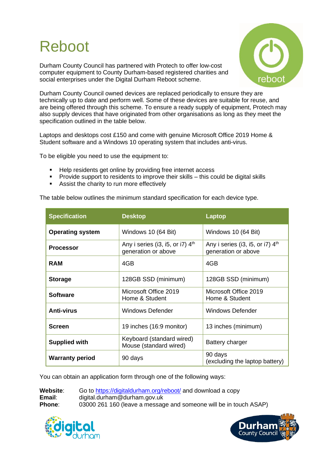# Reboot

Durham County Council has partnered with Protech to offer low-cost computer equipment to County Durham-based registered charities and social enterprises under the Digital Durham Reboot scheme.



Durham County Council owned devices are replaced periodically to ensure they are technically up to date and perform well. Some of these devices are suitable for reuse, and are being offered through this scheme. To ensure a ready supply of equipment, Protech may also supply devices that have originated from other organisations as long as they meet the specification outlined in the table below.

Laptops and desktops cost £150 and come with genuine Microsoft Office 2019 Home & Student software and a Windows 10 operating system that includes anti-virus.

To be eligible you need to use the equipment to:

- Help residents get online by providing free internet access
- Provide support to residents to improve their skills this could be digital skills
- Assist the charity to run more effectively

The table below outlines the minimum standard specification for each device type.

| <b>Specification</b>    | <b>Desktop</b>                                            | Laptop                                                    |
|-------------------------|-----------------------------------------------------------|-----------------------------------------------------------|
| <b>Operating system</b> | Windows 10 (64 Bit)                                       | Windows 10 (64 Bit)                                       |
| <b>Processor</b>        | Any i series (i3, i5, or i7) $4th$<br>generation or above | Any i series (i3, i5, or i7) $4th$<br>generation or above |
| <b>RAM</b>              | 4GB                                                       | 4GB                                                       |
| <b>Storage</b>          | 128GB SSD (minimum)                                       | 128GB SSD (minimum)                                       |
| <b>Software</b>         | Microsoft Office 2019<br>Home & Student                   | Microsoft Office 2019<br>Home & Student                   |
| <b>Anti-virus</b>       | Windows Defender                                          | Windows Defender                                          |
| <b>Screen</b>           | 19 inches (16:9 monitor)                                  | 13 inches (minimum)                                       |
| <b>Supplied with</b>    | Keyboard (standard wired)<br>Mouse (standard wired)       | Battery charger                                           |
| <b>Warranty period</b>  | 90 days                                                   | 90 days<br>(excluding the laptop battery)                 |

You can obtain an application form through one of the following ways:

**Website:** Go to<https://digitaldurham.org/reboot/> and download a copy **Email**: digital.durham@durham.gov.uk **Phone:** 03000 261 160 (leave a message and someone will be in touch ASAP)